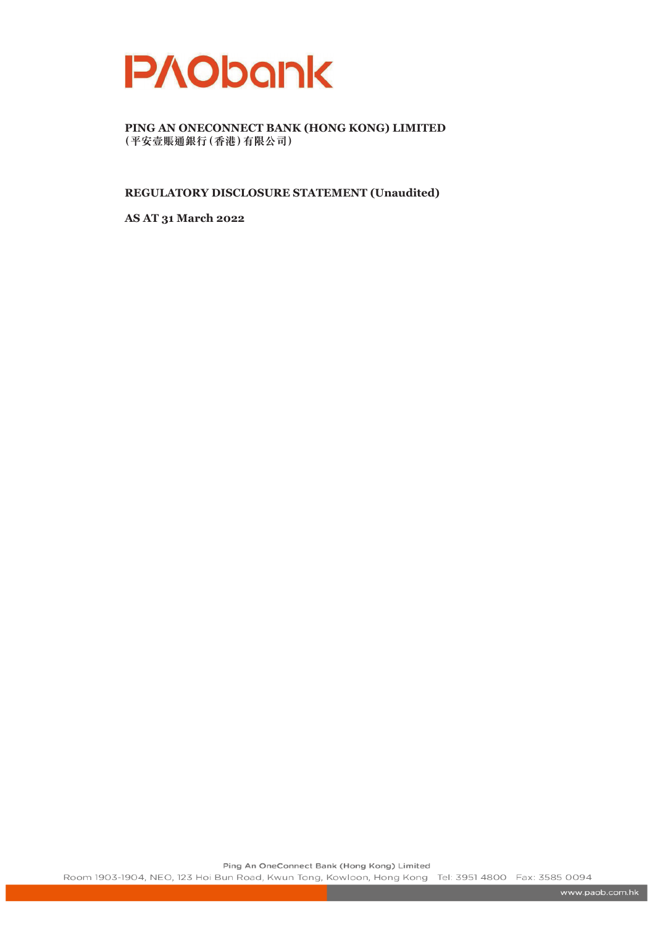

**REGULATORY DISCLOSURE STATEMENT (Unaudited)**

**AS AT 31 March 2022**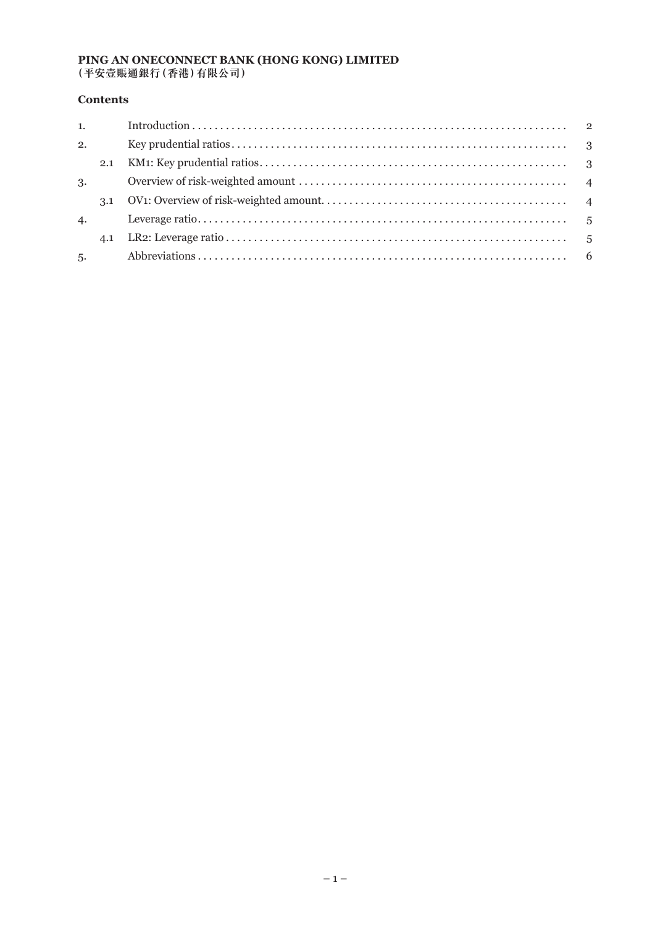## **Contents**

| 2. |  |
|----|--|
|    |  |
| 3. |  |
|    |  |
| 4. |  |
|    |  |
|    |  |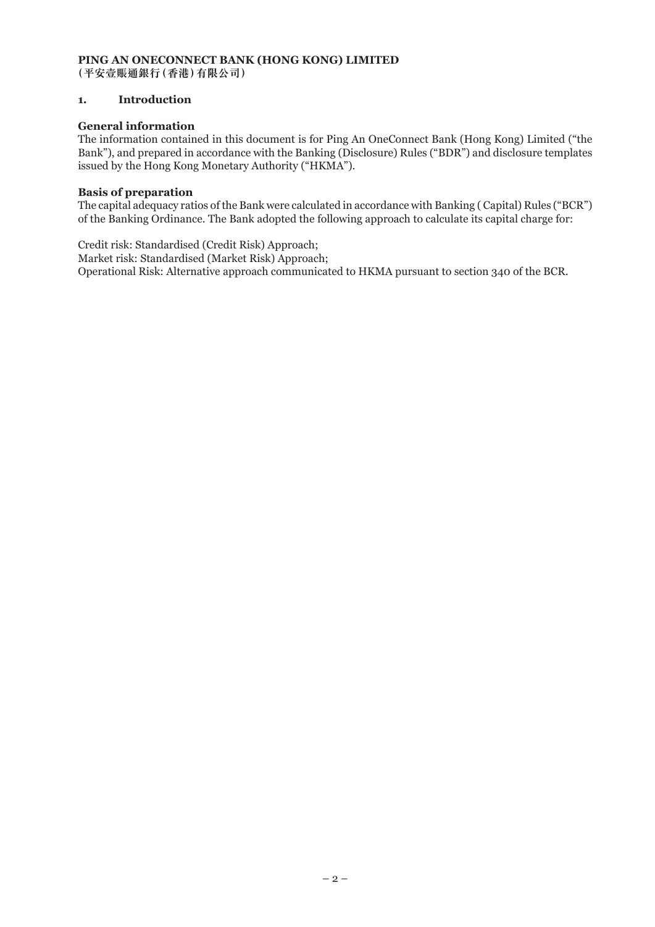## **1. Introduction**

## **General information**

The information contained in this document is for Ping An OneConnect Bank (Hong Kong) Limited ("the Bank"), and prepared in accordance with the Banking (Disclosure) Rules ("BDR") and disclosure templates issued by the Hong Kong Monetary Authority ("HKMA").

### **Basis of preparation**

The capital adequacy ratios of the Bank were calculated in accordance with Banking ( Capital) Rules ("BCR") of the Banking Ordinance. The Bank adopted the following approach to calculate its capital charge for:

Credit risk: Standardised (Credit Risk) Approach; Market risk: Standardised (Market Risk) Approach; Operational Risk: Alternative approach communicated to HKMA pursuant to section 340 of the BCR.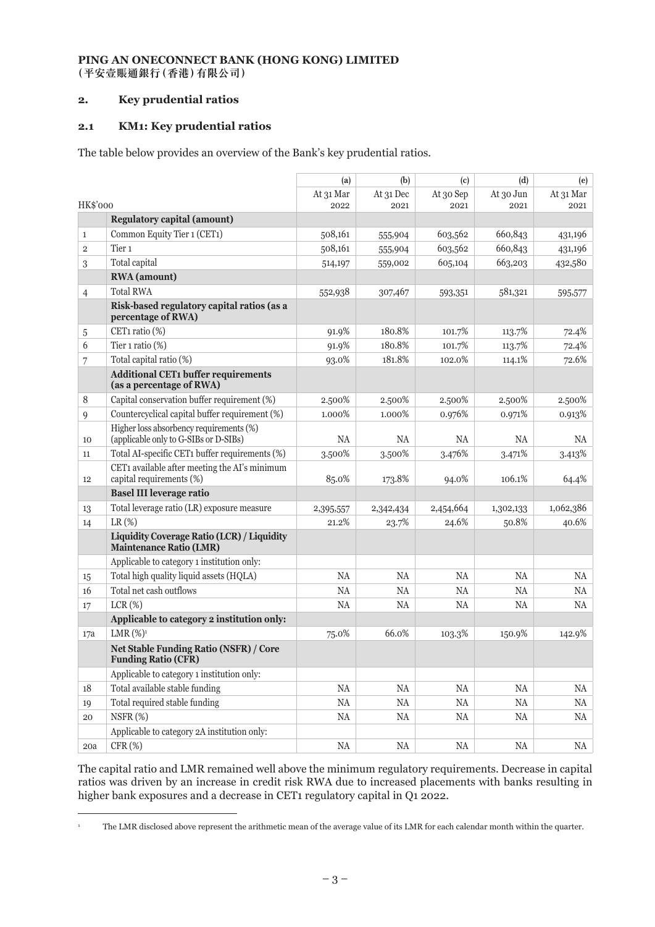## **2. Key prudential ratios**

## **2.1 KM1: Key prudential ratios**

The table below provides an overview of the Bank's key prudential ratios.

|                |                                                                                     | (a)       | (b)       | (c)       | (d)       | (e)       |
|----------------|-------------------------------------------------------------------------------------|-----------|-----------|-----------|-----------|-----------|
|                |                                                                                     | At 31 Mar | At 31 Dec | At 30 Sep | At 30 Jun | At 31 Mar |
| HK\$'000       |                                                                                     | 2022      | 2021      | 2021      | 2021      | 2021      |
|                | <b>Regulatory capital (amount)</b>                                                  |           |           |           |           |           |
| $\mathbf{1}$   | Common Equity Tier 1 (CET1)                                                         | 508,161   | 555,904   | 603,562   | 660,843   | 431,196   |
| $\overline{2}$ | Tier <sub>1</sub>                                                                   | 508,161   | 555,904   | 603,562   | 660,843   | 431,196   |
| 3              | Total capital                                                                       | 514,197   | 559,002   | 605,104   | 663,203   | 432,580   |
|                | <b>RWA</b> (amount)                                                                 |           |           |           |           |           |
| 4              | <b>Total RWA</b>                                                                    | 552,938   | 307,467   | 593,351   | 581,321   | 595,577   |
|                | Risk-based regulatory capital ratios (as a<br>percentage of RWA)                    |           |           |           |           |           |
| 5              | CET1 ratio (%)                                                                      | 91.9%     | 180.8%    | 101.7%    | 113.7%    | 72.4%     |
| 6              | Tier 1 ratio (%)                                                                    | 91.9%     | 180.8%    | 101.7%    | 113.7%    | 72.4%     |
| 7              | Total capital ratio (%)                                                             | 93.0%     | 181.8%    | 102.0%    | 114.1%    | 72.6%     |
|                | <b>Additional CET1 buffer requirements</b><br>(as a percentage of RWA)              |           |           |           |           |           |
| 8              | Capital conservation buffer requirement (%)                                         | 2.500%    | 2.500%    | 2.500%    | 2.500%    | 2.500%    |
| $\mathbf{Q}$   | Countercyclical capital buffer requirement (%)                                      | 1.000%    | 1.000%    | 0.976%    | 0.971%    | 0.913%    |
| 10             | Higher loss absorbency requirements (%)<br>(applicable only to G-SIBs or D-SIBs)    | NA        | NA        | <b>NA</b> | NA        | NA        |
| 11             | Total AI-specific CET1 buffer requirements (%)                                      | 3.500%    | 3.500%    | 3.476%    | 3.471%    | 3.413%    |
| 12             | CET1 available after meeting the AI's minimum<br>capital requirements (%)           | 85.0%     | 173.8%    | 94.0%     | 106.1%    | 64.4%     |
|                | <b>Basel III leverage ratio</b>                                                     |           |           |           |           |           |
| 13             | Total leverage ratio (LR) exposure measure                                          | 2,395,557 | 2,342,434 | 2,454,664 | 1,302,133 | 1,062,386 |
| 14             | $LR$ $(\%)$                                                                         | 21.2%     | 23.7%     | 24.6%     | 50.8%     | 40.6%     |
|                | <b>Liquidity Coverage Ratio (LCR) / Liquidity</b><br><b>Maintenance Ratio (LMR)</b> |           |           |           |           |           |
|                | Applicable to category 1 institution only:                                          |           |           |           |           |           |
| 15             | Total high quality liquid assets (HQLA)                                             | <b>NA</b> | <b>NA</b> | <b>NA</b> | NA        | <b>NA</b> |
| 16             | Total net cash outflows                                                             | <b>NA</b> | <b>NA</b> | <b>NA</b> | <b>NA</b> | NA        |
| 17             | $LCR(\%)$                                                                           | NA        | NA        | NA        | NA        | NA        |
|                | Applicable to category 2 institution only:                                          |           |           |           |           |           |
| 17a            | LMR $(\%)^1$                                                                        | 75.0%     | 66.0%     | 103.3%    | 150.9%    | 142.9%    |
|                | <b>Net Stable Funding Ratio (NSFR) / Core</b><br><b>Funding Ratio (CFR)</b>         |           |           |           |           |           |
|                | Applicable to category 1 institution only:                                          |           |           |           |           |           |
| 18             | Total available stable funding                                                      | $\rm NA$  | $\rm NA$  | NA        | $\rm NA$  | NA        |
| 19             | Total required stable funding                                                       | $\rm NA$  | $\rm NA$  | $\rm NA$  | $\rm NA$  | NA        |
| 20             | NSFR(%)                                                                             | NA        | $\rm NA$  | $\rm NA$  | NA        | $\rm NA$  |
|                | Applicable to category 2A institution only:                                         |           |           |           |           |           |
| 20a            | CFR <sub>(%)</sub>                                                                  | $\rm NA$  | $\rm NA$  | $\rm NA$  | $\rm NA$  | NA        |

The capital ratio and LMR remained well above the minimum regulatory requirements. Decrease in capital ratios was driven by an increase in credit risk RWA due to increased placements with banks resulting in higher bank exposures and a decrease in CET1 regulatory capital in Q1 2022.

<sup>&</sup>lt;sup>1</sup> The LMR disclosed above represent the arithmetic mean of the average value of its LMR for each calendar month within the quarter.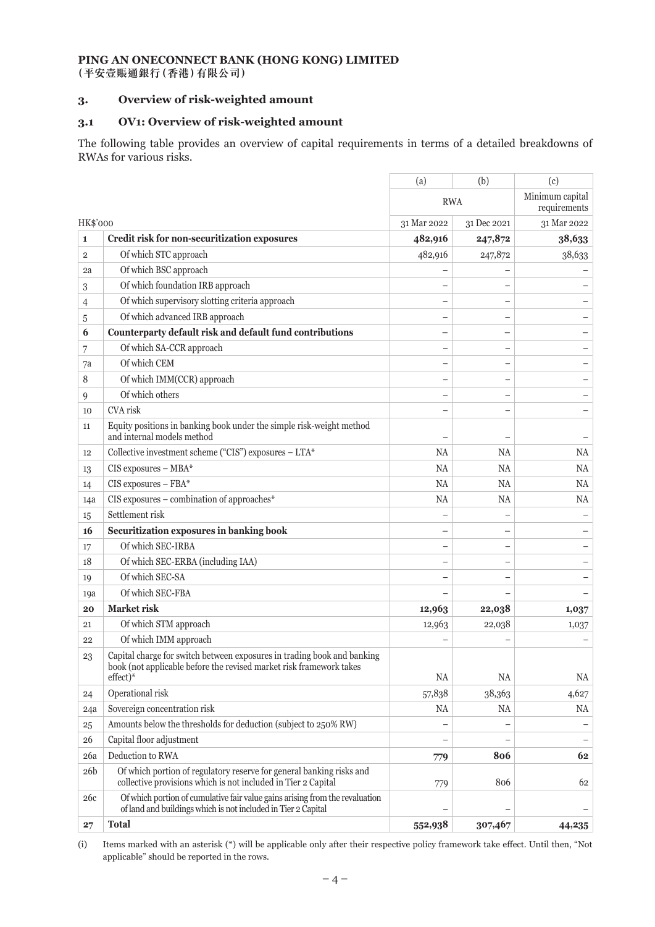## **3. Overview of risk-weighted amount**

## **3.1 OV1: Overview of risk-weighted amount**

The following table provides an overview of capital requirements in terms of a detailed breakdowns of RWAs for various risks.

|                 |                                                                                                                                                            | (a)         | (b)                      | (c)                             |
|-----------------|------------------------------------------------------------------------------------------------------------------------------------------------------------|-------------|--------------------------|---------------------------------|
|                 |                                                                                                                                                            | <b>RWA</b>  |                          | Minimum capital<br>requirements |
| <b>HK\$'000</b> |                                                                                                                                                            | 31 Mar 2022 | 31 Dec 2021              | 31 Mar 2022                     |
| 1               | Credit risk for non-securitization exposures                                                                                                               | 482,916     | 247,872                  | 38,633                          |
| $\overline{2}$  | Of which STC approach                                                                                                                                      | 482,916     | 247,872                  | 38,633                          |
| 2a              | Of which BSC approach                                                                                                                                      |             |                          |                                 |
| 3               | Of which foundation IRB approach                                                                                                                           |             |                          |                                 |
| 4               | Of which supervisory slotting criteria approach                                                                                                            |             |                          |                                 |
| 5               | Of which advanced IRB approach                                                                                                                             |             |                          |                                 |
| 6               | Counterparty default risk and default fund contributions                                                                                                   |             |                          |                                 |
| 7               | Of which SA-CCR approach                                                                                                                                   |             |                          |                                 |
| 7a              | Of which CEM                                                                                                                                               |             |                          |                                 |
| 8               | Of which IMM(CCR) approach                                                                                                                                 |             | $\overline{\phantom{0}}$ |                                 |
| 9               | Of which others                                                                                                                                            |             |                          |                                 |
| 10              | CVA risk                                                                                                                                                   |             |                          |                                 |
| 11              | Equity positions in banking book under the simple risk-weight method<br>and internal models method                                                         |             |                          |                                 |
| 12              | Collective investment scheme ("CIS") exposures - LTA*                                                                                                      | <b>NA</b>   | <b>NA</b>                | NA                              |
| 13              | CIS exposures - MBA*                                                                                                                                       | <b>NA</b>   | NA                       | NA                              |
| 14              | CIS exposures - FBA*                                                                                                                                       | <b>NA</b>   | NA                       | NA                              |
| 14a             | $CIS$ exposures – combination of approaches*                                                                                                               | NA          | NA                       | NA                              |
| 15              | Settlement risk                                                                                                                                            |             |                          |                                 |
| 16              | Securitization exposures in banking book                                                                                                                   |             |                          |                                 |
| 17              | Of which SEC-IRBA                                                                                                                                          |             |                          |                                 |
| 18              | Of which SEC-ERBA (including IAA)                                                                                                                          |             |                          |                                 |
| 19              | Of which SEC-SA                                                                                                                                            |             |                          |                                 |
| 19a             | Of which SEC-FBA                                                                                                                                           |             |                          |                                 |
| 20              | <b>Market risk</b>                                                                                                                                         | 12,963      | 22,038                   | 1,037                           |
| 21              | Of which STM approach                                                                                                                                      | 12,963      | 22,038                   | 1,037                           |
| 22              | Of which IMM approach                                                                                                                                      |             |                          |                                 |
| 23              | Capital charge for switch between exposures in trading book and banking<br>book (not applicable before the revised market risk framework takes<br>effect)* | <b>NA</b>   | <b>NA</b>                | NA                              |
| 24              | Operational risk                                                                                                                                           | 57,838      | 38,363                   | 4,627                           |
| 24a             | Sovereign concentration risk                                                                                                                               | NA          | NA                       | NA                              |
| 25              | Amounts below the thresholds for deduction (subject to 250% RW)                                                                                            |             |                          |                                 |
| 26              | Capital floor adjustment                                                                                                                                   |             |                          |                                 |
| 26a             | Deduction to RWA                                                                                                                                           | 779         | 806                      | 62                              |
| 26 <sub>b</sub> | Of which portion of regulatory reserve for general banking risks and<br>collective provisions which is not included in Tier 2 Capital                      | 779         | 806                      | 62                              |
| 26c             | Of which portion of cumulative fair value gains arising from the revaluation<br>of land and buildings which is not included in Tier 2 Capital              |             |                          |                                 |
| 27              | <b>Total</b>                                                                                                                                               | 552,938     | 307,467                  | 44,235                          |

(i) Items marked with an asterisk (\*) will be applicable only after their respective policy framework take effect. Until then, "Not applicable" should be reported in the rows.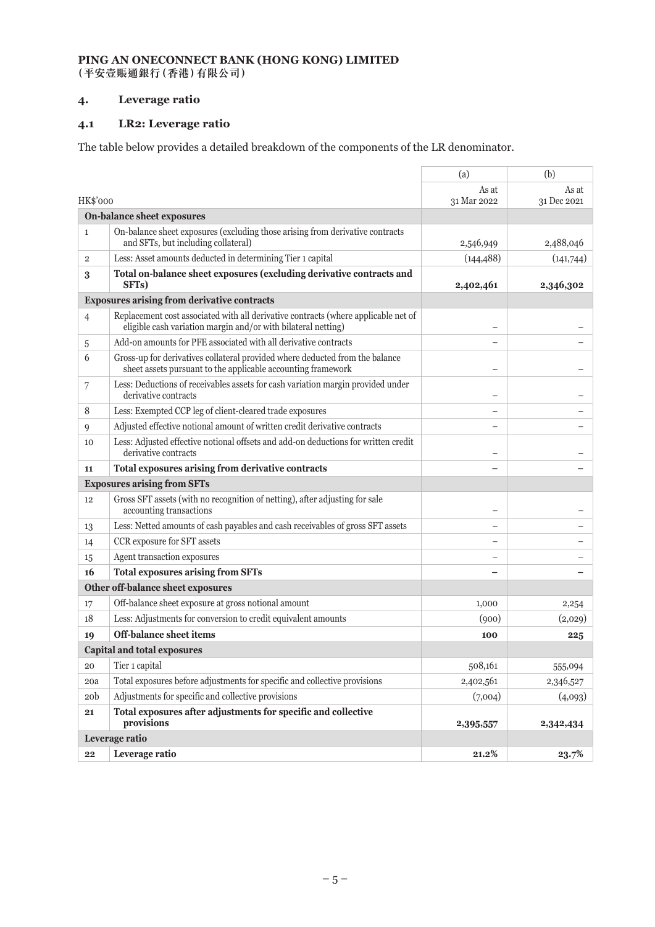## **4. Leverage ratio**

## **4.1 LR2: Leverage ratio**

The table below provides a detailed breakdown of the components of the LR denominator.

|                  |                                                                                                                                                     | (a)                  | (b)                  |
|------------------|-----------------------------------------------------------------------------------------------------------------------------------------------------|----------------------|----------------------|
| HK\$'000         |                                                                                                                                                     | As at<br>31 Mar 2022 | As at<br>31 Dec 2021 |
|                  | <b>On-balance sheet exposures</b>                                                                                                                   |                      |                      |
| $\mathbf{1}$     | On-balance sheet exposures (excluding those arising from derivative contracts<br>and SFTs, but including collateral)                                | 2,546,949            | 2,488,046            |
| $\overline{2}$   | Less: Asset amounts deducted in determining Tier 1 capital                                                                                          | (144, 488)           | (141,744)            |
| $\boldsymbol{3}$ | Total on-balance sheet exposures (excluding derivative contracts and<br>SFT <sub>s</sub> )                                                          | 2,402,461            | 2,346,302            |
|                  | <b>Exposures arising from derivative contracts</b>                                                                                                  |                      |                      |
| $\overline{4}$   | Replacement cost associated with all derivative contracts (where applicable net of<br>eligible cash variation margin and/or with bilateral netting) |                      |                      |
| 5                | Add-on amounts for PFE associated with all derivative contracts                                                                                     |                      |                      |
| 6                | Gross-up for derivatives collateral provided where deducted from the balance<br>sheet assets pursuant to the applicable accounting framework        |                      |                      |
| 7                | Less: Deductions of receivables assets for cash variation margin provided under<br>derivative contracts                                             |                      |                      |
| 8                | Less: Exempted CCP leg of client-cleared trade exposures                                                                                            |                      |                      |
| 9                | Adjusted effective notional amount of written credit derivative contracts                                                                           |                      |                      |
| 10               | Less: Adjusted effective notional offsets and add-on deductions for written credit<br>derivative contracts                                          |                      |                      |
| 11               | Total exposures arising from derivative contracts                                                                                                   |                      |                      |
|                  | <b>Exposures arising from SFTs</b>                                                                                                                  |                      |                      |
| 12               | Gross SFT assets (with no recognition of netting), after adjusting for sale<br>accounting transactions                                              |                      |                      |
| 13               | Less: Netted amounts of cash payables and cash receivables of gross SFT assets                                                                      |                      |                      |
| 14               | CCR exposure for SFT assets                                                                                                                         |                      |                      |
| 15               | Agent transaction exposures                                                                                                                         |                      |                      |
| 16               | <b>Total exposures arising from SFTs</b>                                                                                                            |                      |                      |
|                  | Other off-balance sheet exposures                                                                                                                   |                      |                      |
| 17               | Off-balance sheet exposure at gross notional amount                                                                                                 | 1,000                | 2,254                |
| 18               | Less: Adjustments for conversion to credit equivalent amounts                                                                                       | (900)                | (2,029)              |
| 19               | Off-balance sheet items                                                                                                                             | 100                  | 225                  |
|                  | <b>Capital and total exposures</b>                                                                                                                  |                      |                      |
| 20               | Tier 1 capital                                                                                                                                      | 508,161              | 555,094              |
| 20a              | Total exposures before adjustments for specific and collective provisions                                                                           | 2,402,561            | 2,346,527            |
| 20 <sub>b</sub>  | Adjustments for specific and collective provisions                                                                                                  | (7,004)              | (4,093)              |
| 21               | Total exposures after adjustments for specific and collective<br>provisions                                                                         | 2,395,557            | 2,342,434            |
|                  | Leverage ratio                                                                                                                                      |                      |                      |
| 22               | Leverage ratio                                                                                                                                      | 21.2%                | 23.7%                |